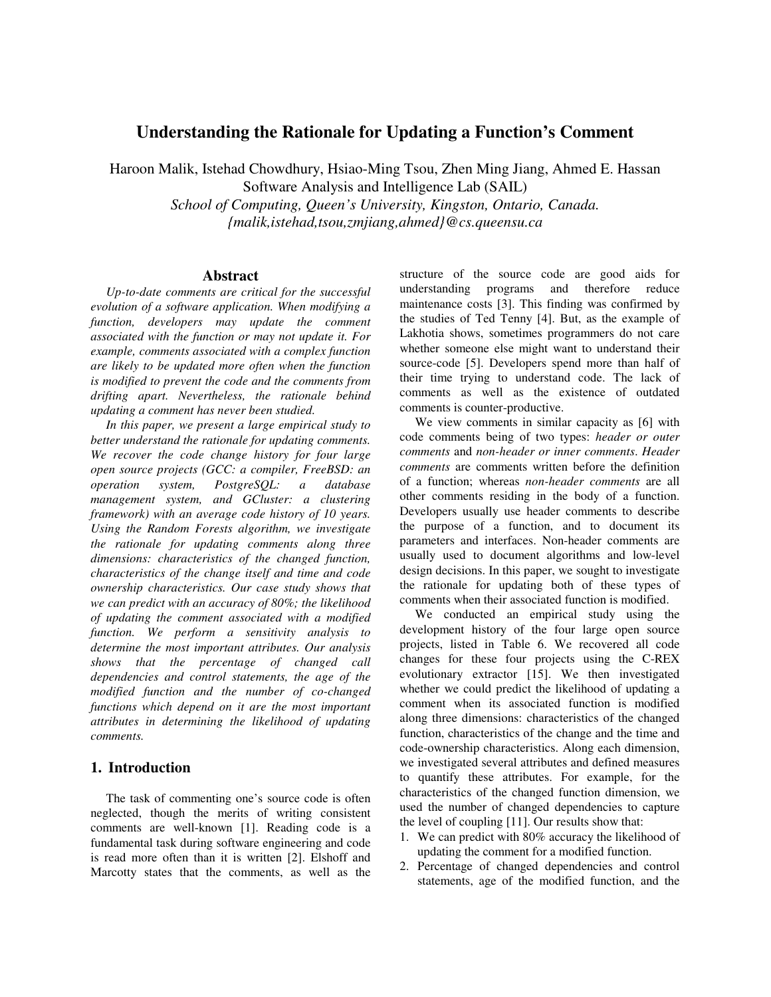# **Understanding the Rationale for Updating a Function's Comment**

Haroon Malik, Istehad Chowdhury, Hsiao-Ming Tsou, Zhen Ming Jiang, Ahmed E. Hassan Software Analysis and Intelligence Lab (SAIL) *School of Computing, Queen's University, Kingston, Ontario, Canada. {malik,istehad,tsou,zmjiang,ahmed}@cs.queensu.ca* 

## **Abstract**

*Up-to-date comments are critical for the successful evolution of a software application. When modifying a function, developers may update the comment associated with the function or may not update it. For example, comments associated with a complex function are likely to be updated more often when the function is modified to prevent the code and the comments from drifting apart. Nevertheless, the rationale behind updating a comment has never been studied.* 

*In this paper, we present a large empirical study to better understand the rationale for updating comments. We recover the code change history for four large open source projects (GCC: a compiler, FreeBSD: an operation system, PostgreSQL: a database management system, and GCluster: a clustering framework) with an average code history of 10 years. Using the Random Forests algorithm, we investigate the rationale for updating comments along three dimensions: characteristics of the changed function, characteristics of the change itself and time and code ownership characteristics. Our case study shows that we can predict with an accuracy of 80%; the likelihood of updating the comment associated with a modified function. We perform a sensitivity analysis to determine the most important attributes. Our analysis shows that the percentage of changed call dependencies and control statements, the age of the modified function and the number of co-changed functions which depend on it are the most important attributes in determining the likelihood of updating comments.* 

# **1. Introduction**

The task of commenting one's source code is often neglected, though the merits of writing consistent comments are well-known [1]. Reading code is a fundamental task during software engineering and code is read more often than it is written [2]. Elshoff and Marcotty states that the comments, as well as the structure of the source code are good aids for understanding programs and therefore reduce maintenance costs [3]. This finding was confirmed by the studies of Ted Tenny [4]. But, as the example of Lakhotia shows, sometimes programmers do not care whether someone else might want to understand their source-code [5]. Developers spend more than half of their time trying to understand code. The lack of comments as well as the existence of outdated comments is counter-productive.

We view comments in similar capacity as [6] with code comments being of two types: *header or outer comments* and *non-header or inner comments*. *Header comments* are comments written before the definition of a function; whereas *non-header comments* are all other comments residing in the body of a function. Developers usually use header comments to describe the purpose of a function, and to document its parameters and interfaces. Non-header comments are usually used to document algorithms and low-level design decisions. In this paper, we sought to investigate the rationale for updating both of these types of comments when their associated function is modified.

We conducted an empirical study using the development history of the four large open source projects, listed in Table 6. We recovered all code changes for these four projects using the C-REX evolutionary extractor [15]. We then investigated whether we could predict the likelihood of updating a comment when its associated function is modified along three dimensions: characteristics of the changed function, characteristics of the change and the time and code-ownership characteristics. Along each dimension, we investigated several attributes and defined measures to quantify these attributes. For example, for the characteristics of the changed function dimension, we used the number of changed dependencies to capture the level of coupling [11]. Our results show that:

- 1. We can predict with 80% accuracy the likelihood of updating the comment for a modified function.
- 2. Percentage of changed dependencies and control statements, age of the modified function, and the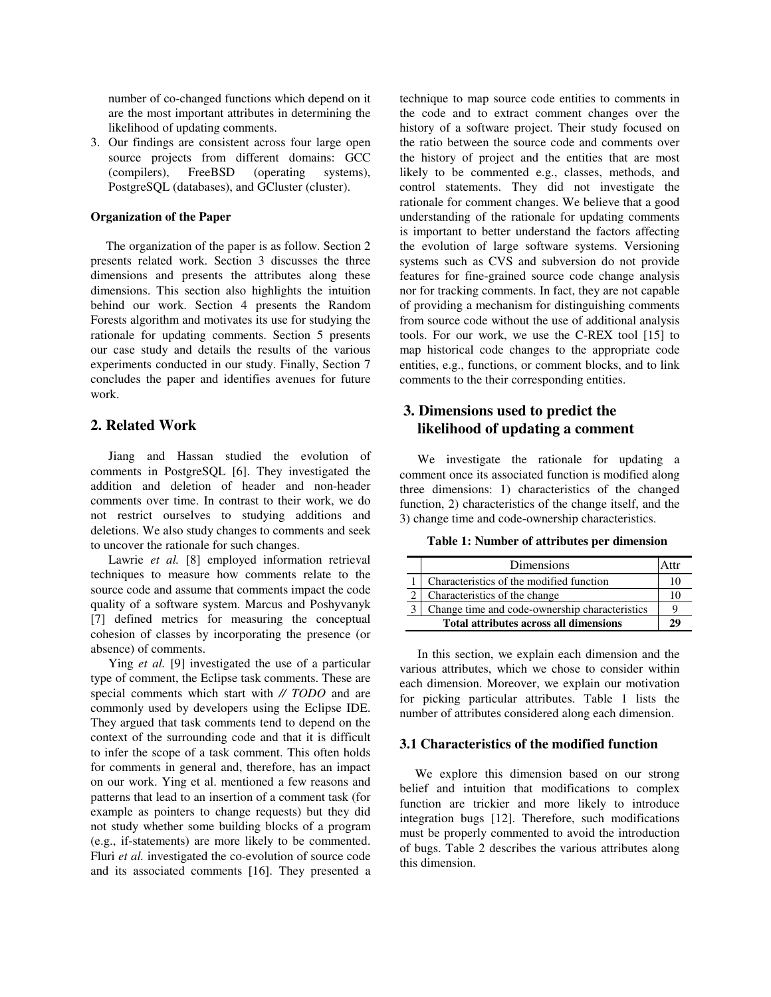number of co-changed functions which depend on it are the most important attributes in determining the likelihood of updating comments.

3. Our findings are consistent across four large open source projects from different domains: GCC (compilers), FreeBSD (operating systems), PostgreSQL (databases), and GCluster (cluster).

#### **Organization of the Paper**

The organization of the paper is as follow. Section 2 presents related work. Section 3 discusses the three dimensions and presents the attributes along these dimensions. This section also highlights the intuition behind our work. Section 4 presents the Random Forests algorithm and motivates its use for studying the rationale for updating comments. Section 5 presents our case study and details the results of the various experiments conducted in our study. Finally, Section 7 concludes the paper and identifies avenues for future work.

## **2. Related Work**

Jiang and Hassan studied the evolution of comments in PostgreSQL [6]. They investigated the addition and deletion of header and non-header comments over time. In contrast to their work, we do not restrict ourselves to studying additions and deletions. We also study changes to comments and seek to uncover the rationale for such changes.

Lawrie *et al.* [8] employed information retrieval techniques to measure how comments relate to the source code and assume that comments impact the code quality of a software system. Marcus and Poshyvanyk [7] defined metrics for measuring the conceptual cohesion of classes by incorporating the presence (or absence) of comments.

Ying *et al.* [9] investigated the use of a particular type of comment, the Eclipse task comments. These are special comments which start with *// TODO* and are commonly used by developers using the Eclipse IDE. They argued that task comments tend to depend on the context of the surrounding code and that it is difficult to infer the scope of a task comment. This often holds for comments in general and, therefore, has an impact on our work. Ying et al. mentioned a few reasons and patterns that lead to an insertion of a comment task (for example as pointers to change requests) but they did not study whether some building blocks of a program (e.g., if-statements) are more likely to be commented. Fluri *et al.* investigated the co-evolution of source code and its associated comments [16]. They presented a

technique to map source code entities to comments in the code and to extract comment changes over the history of a software project. Their study focused on the ratio between the source code and comments over the history of project and the entities that are most likely to be commented e.g., classes, methods, and control statements. They did not investigate the rationale for comment changes. We believe that a good understanding of the rationale for updating comments is important to better understand the factors affecting the evolution of large software systems. Versioning systems such as CVS and subversion do not provide features for fine-grained source code change analysis nor for tracking comments. In fact, they are not capable of providing a mechanism for distinguishing comments from source code without the use of additional analysis tools. For our work, we use the C-REX tool [15] to map historical code changes to the appropriate code entities, e.g., functions, or comment blocks, and to link comments to the their corresponding entities.

# **3. Dimensions used to predict the likelihood of updating a comment**

We investigate the rationale for updating a comment once its associated function is modified along three dimensions: 1) characteristics of the changed function, 2) characteristics of the change itself, and the 3) change time and code-ownership characteristics.

**Table 1: Number of attributes per dimension** 

|                                               | Dimensions                                     | \ffr |  |  |  |
|-----------------------------------------------|------------------------------------------------|------|--|--|--|
|                                               | Characteristics of the modified function       |      |  |  |  |
| $\overline{c}$                                | Characteristics of the change                  |      |  |  |  |
|                                               | Change time and code-ownership characteristics |      |  |  |  |
| <b>Total attributes across all dimensions</b> |                                                |      |  |  |  |

In this section, we explain each dimension and the various attributes, which we chose to consider within each dimension. Moreover, we explain our motivation for picking particular attributes. Table 1 lists the number of attributes considered along each dimension.

## **3.1 Characteristics of the modified function**

We explore this dimension based on our strong belief and intuition that modifications to complex function are trickier and more likely to introduce integration bugs [12]. Therefore, such modifications must be properly commented to avoid the introduction of bugs. Table 2 describes the various attributes along this dimension.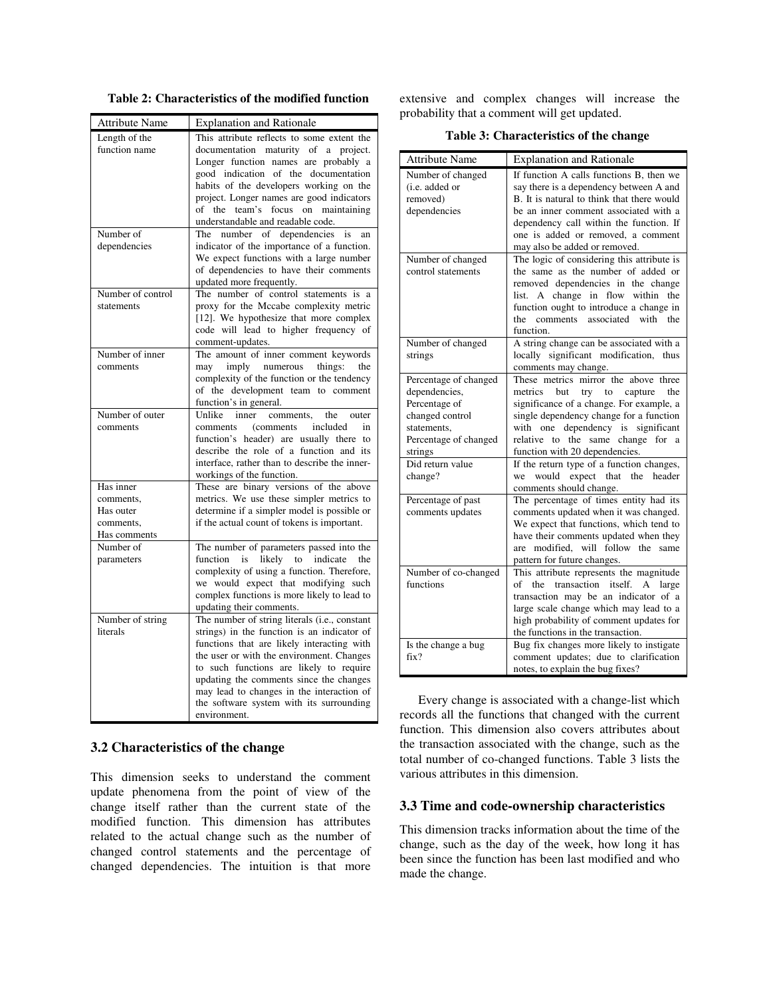**Table 2: Characteristics of the modified function** 

| Attribute Name    | <b>Explanation and Rationale</b>                  |
|-------------------|---------------------------------------------------|
| Length of the     | This attribute reflects to some extent the        |
| function name     | documentation maturity of a project.              |
|                   | Longer function names are probably a              |
|                   | good indication of the documentation              |
|                   | habits of the developers working on the           |
|                   | project. Longer names are good indicators         |
|                   | of the team's focus on maintaining                |
|                   | understandable and readable code.                 |
| Number of         | The number of dependencies<br>is<br>an            |
| dependencies      | indicator of the importance of a function.        |
|                   | We expect functions with a large number           |
|                   | of dependencies to have their comments            |
|                   | updated more frequently.                          |
| Number of control | The number of control statements is a             |
| statements        | proxy for the Mccabe complexity metric            |
|                   | [12]. We hypothesize that more complex            |
|                   | code will lead to higher frequency of             |
|                   | comment-updates.                                  |
| Number of inner   | The amount of inner comment keywords              |
| comments          | may imply numerous<br>things:<br>the              |
|                   | complexity of the function or the tendency        |
|                   | of the development team to comment                |
|                   | function's in general.                            |
| Number of outer   | Unlike<br>inner comments.<br>the<br>outer         |
| comments          | <i>(comments)</i><br>included<br>comments<br>in   |
|                   | function's header) are usually there to           |
|                   | describe the role of a function and its           |
|                   | interface, rather than to describe the inner-     |
|                   | workings of the function.                         |
| Has inner         | These are binary versions of the above            |
| comments,         | metrics. We use these simpler metrics to          |
| Has outer         | determine if a simpler model is possible or       |
| comments,         | if the actual count of tokens is important.       |
| Has comments      |                                                   |
| Number of         | The number of parameters passed into the          |
| parameters        | likely<br>function<br>is<br>to<br>indicate<br>the |
|                   | complexity of using a function. Therefore,        |
|                   | we would expect that modifying such               |
|                   | complex functions is more likely to lead to       |
|                   | updating their comments.                          |
| Number of string  | The number of string literals (i.e., constant     |
| literals          | strings) in the function is an indicator of       |
|                   | functions that are likely interacting with        |
|                   | the user or with the environment. Changes         |
|                   | to such functions are likely to require           |
|                   | updating the comments since the changes           |
|                   | may lead to changes in the interaction of         |
|                   | the software system with its surrounding          |
|                   | environment.                                      |

# **3.2 Characteristics of the change**

This dimension seeks to understand the comment update phenomena from the point of view of the change itself rather than the current state of the modified function. This dimension has attributes related to the actual change such as the number of changed control statements and the percentage of changed dependencies. The intuition is that more extensive and complex changes will increase the probability that a comment will get updated.

**Table 3: Characteristics of the change** 

| <b>Attribute Name</b>       | <b>Explanation and Rationale</b>                                                 |
|-----------------------------|----------------------------------------------------------------------------------|
| Number of changed           | If function A calls functions B, then we                                         |
| (i.e. added or              | say there is a dependency between A and                                          |
| removed)                    | B. It is natural to think that there would                                       |
| dependencies                | be an inner comment associated with a                                            |
|                             | dependency call within the function. If                                          |
|                             | one is added or removed, a comment                                               |
|                             | may also be added or removed.                                                    |
| Number of changed           | The logic of considering this attribute is<br>the same as the number of added or |
| control statements          | removed dependencies in the change                                               |
|                             | list. A change in flow within the                                                |
|                             | function ought to introduce a change in                                          |
|                             | comments associated with<br>the<br>the                                           |
|                             | function.                                                                        |
| Number of changed           | A string change can be associated with a                                         |
| strings                     | locally significant modification, thus                                           |
|                             | comments may change.                                                             |
| Percentage of changed       | These metrics mirror the above three                                             |
| dependencies,               | metrics<br>but<br>try to<br>capture<br>the                                       |
| Percentage of               | significance of a change. For example, a                                         |
| changed control             | single dependency change for a function                                          |
| statements.                 | with one dependency is significant                                               |
| Percentage of changed       | relative to the same change for a                                                |
| strings<br>Did return value | function with 20 dependencies.                                                   |
| change?                     | If the return type of a function changes,<br>would expect that the header<br>we  |
|                             | comments should change.                                                          |
| Percentage of past          | The percentage of times entity had its                                           |
| comments updates            | comments updated when it was changed.                                            |
|                             | We expect that functions, which tend to                                          |
|                             | have their comments updated when they                                            |
|                             | are modified, will follow the same                                               |
|                             | pattern for future changes.                                                      |
| Number of co-changed        | This attribute represents the magnitude                                          |
| functions                   | transaction<br>itself.<br>of<br>the<br>$\mathbf{A}$<br>large                     |
|                             | transaction may be an indicator of a                                             |
|                             | large scale change which may lead to a                                           |
|                             | high probability of comment updates for                                          |
|                             | the functions in the transaction.                                                |
| Is the change a bug<br>fix? | Bug fix changes more likely to instigate                                         |
|                             | comment updates; due to clarification                                            |
|                             | notes, to explain the bug fixes?                                                 |

 Every change is associated with a change-list which records all the functions that changed with the current function. This dimension also covers attributes about the transaction associated with the change, such as the total number of co-changed functions. Table 3 lists the various attributes in this dimension.

# **3.3 Time and code-ownership characteristics**

This dimension tracks information about the time of the change, such as the day of the week, how long it has been since the function has been last modified and who made the change.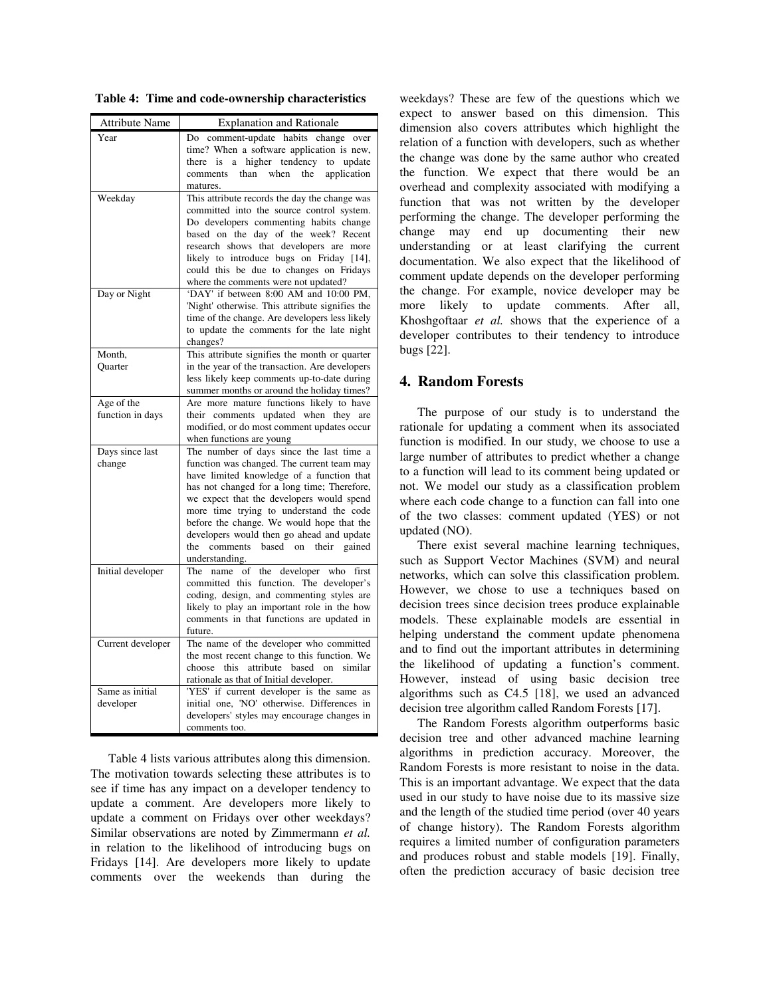**Table 4: Time and code-ownership characteristics** 

| <b>Attribute Name</b> | <b>Explanation and Rationale</b>                                                         |
|-----------------------|------------------------------------------------------------------------------------------|
| Year                  | Do comment-update habits change over                                                     |
|                       | time? When a software application is new,                                                |
|                       | there is a higher tendency to update                                                     |
|                       | than<br>when<br>the<br>application<br>comments                                           |
| Weekday               | matures.<br>This attribute records the day the change was                                |
|                       | committed into the source control system.                                                |
|                       | Do developers commenting habits change                                                   |
|                       | based on the day of the week? Recent                                                     |
|                       | research shows that developers are more                                                  |
|                       | likely to introduce bugs on Friday [14],                                                 |
|                       | could this be due to changes on Fridays                                                  |
|                       | where the comments were not updated?                                                     |
| Day or Night          | 'DAY' if between 8:00 AM and 10:00 PM,                                                   |
|                       | 'Night' otherwise. This attribute signifies the                                          |
|                       | time of the change. Are developers less likely                                           |
|                       | to update the comments for the late night                                                |
| Month,                | changes?<br>This attribute signifies the month or quarter                                |
| Quarter               | in the year of the transaction. Are developers                                           |
|                       | less likely keep comments up-to-date during                                              |
|                       | summer months or around the holiday times?                                               |
| Age of the            | Are more mature functions likely to have                                                 |
| function in days      | their comments updated when they<br>are                                                  |
|                       | modified, or do most comment updates occur                                               |
|                       | when functions are young                                                                 |
| Days since last       | The number of days since the last time a                                                 |
| change                | function was changed. The current team may<br>have limited knowledge of a function that  |
|                       | has not changed for a long time; Therefore,                                              |
|                       | we expect that the developers would spend                                                |
|                       | more time trying to understand the code                                                  |
|                       | before the change. We would hope that the                                                |
|                       | developers would then go ahead and update                                                |
|                       | the comments<br>based on<br>their<br>gained                                              |
|                       | understanding.                                                                           |
| Initial developer     | the developer who<br>The name<br>of<br>first                                             |
|                       | committed this function. The developer's                                                 |
|                       | coding, design, and commenting styles are<br>likely to play an important role in the how |
|                       | comments in that functions are updated in                                                |
|                       | future.                                                                                  |
| Current developer     | The name of the developer who committed                                                  |
|                       | the most recent change to this function. We                                              |
|                       | this<br>attribute based on<br>similar<br>choose                                          |
|                       | rationale as that of Initial developer.                                                  |
| Same as initial       | 'YES' if current developer is the same as                                                |
| developer             | initial one, 'NO' otherwise. Differences in                                              |
|                       | developers' styles may encourage changes in                                              |
|                       | comments too.                                                                            |

Table 4 lists various attributes along this dimension. The motivation towards selecting these attributes is to see if time has any impact on a developer tendency to update a comment. Are developers more likely to update a comment on Fridays over other weekdays? Similar observations are noted by Zimmermann *et al.* in relation to the likelihood of introducing bugs on Fridays [14]. Are developers more likely to update comments over the weekends than during the

weekdays? These are few of the questions which we expect to answer based on this dimension. This dimension also covers attributes which highlight the relation of a function with developers, such as whether the change was done by the same author who created the function. We expect that there would be an overhead and complexity associated with modifying a function that was not written by the developer performing the change. The developer performing the change may end up documenting their new understanding or at least clarifying the current documentation. We also expect that the likelihood of comment update depends on the developer performing the change. For example, novice developer may be more likely to update comments. After all, Khoshgoftaar *et al.* shows that the experience of a developer contributes to their tendency to introduce bugs [22].

## **4. Random Forests**

The purpose of our study is to understand the rationale for updating a comment when its associated function is modified. In our study, we choose to use a large number of attributes to predict whether a change to a function will lead to its comment being updated or not. We model our study as a classification problem where each code change to a function can fall into one of the two classes: comment updated (YES) or not updated (NO).

There exist several machine learning techniques, such as Support Vector Machines (SVM) and neural networks, which can solve this classification problem. However, we chose to use a techniques based on decision trees since decision trees produce explainable models. These explainable models are essential in helping understand the comment update phenomena and to find out the important attributes in determining the likelihood of updating a function's comment. However, instead of using basic decision tree algorithms such as C4.5 [18], we used an advanced decision tree algorithm called Random Forests [17].

The Random Forests algorithm outperforms basic decision tree and other advanced machine learning algorithms in prediction accuracy. Moreover, the Random Forests is more resistant to noise in the data. This is an important advantage. We expect that the data used in our study to have noise due to its massive size and the length of the studied time period (over 40 years of change history). The Random Forests algorithm requires a limited number of configuration parameters and produces robust and stable models [19]. Finally, often the prediction accuracy of basic decision tree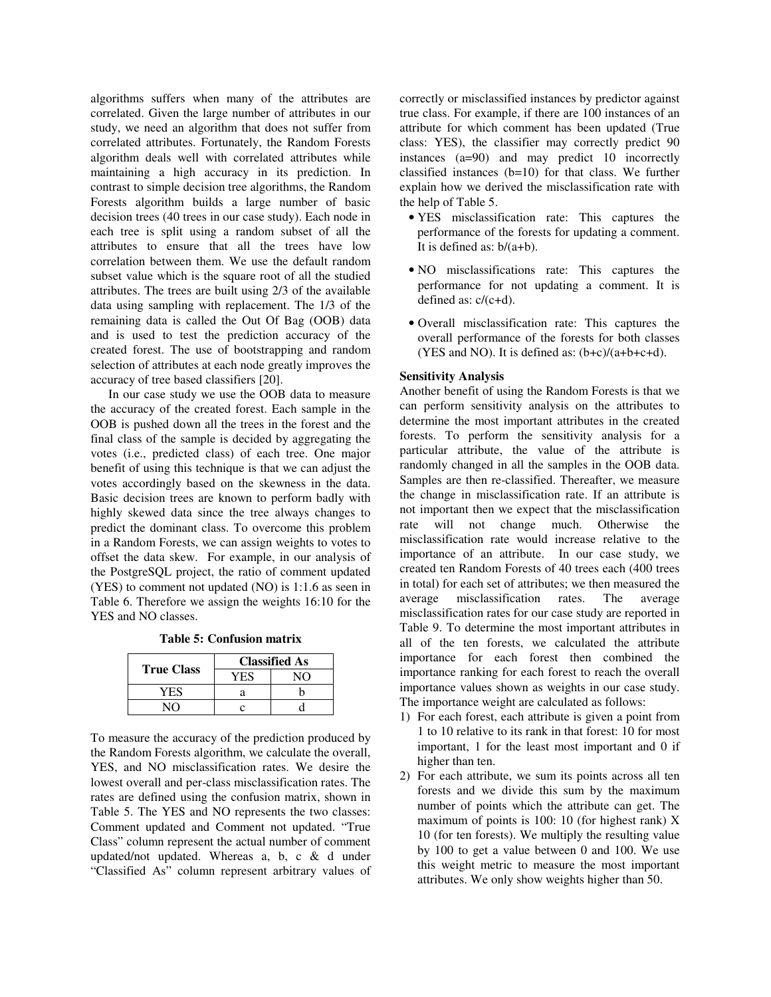algorithms suffers when many of the attributes are correlated. Given the large number of attributes in our study, we need an algorithm that does not suffer from correlated attributes. Fortunately, the Random Forests algorithm deals well with correlated attributes while maintaining a high accuracy in its prediction. In contrast to simple decision tree algorithms, the Random Forests algorithm builds a large number of basic decision trees (40 trees in our case study). Each node in each tree is split using a random subset of all the attributes to ensure that all the trees have low correlation between them. We use the default random subset value which is the square root of all the studied attributes. The trees are built using 2/3 of the available data using sampling with replacement. The 1/3 of the remaining data is called the Out Of Bag (OOB) data and is used to test the prediction accuracy of the created forest. The use of bootstrapping and random selection of attributes at each node greatly improves the accuracy of tree based classifiers [20].

In our case study we use the OOB data to measure the accuracy of the created forest. Each sample in the OOB is pushed down all the trees in the forest and the final class of the sample is decided by aggregating the votes (i.e., predicted class) of each tree. One major benefit of using this technique is that we can adjust the votes accordingly based on the skewness in the data. Basic decision trees are known to perform badly with highly skewed data since the tree always changes to predict the dominant class. To overcome this problem in a Random Forests, we can assign weights to votes to offset the data skew. For example, in our analysis of the PostgreSQL project, the ratio of comment updated (YES) to comment not updated (NO) is 1:1.6 as seen in Table 6. Therefore we assign the weights 16:10 for the YES and NO classes.

|  | <b>Table 5: Confusion matrix</b> |
|--|----------------------------------|
|--|----------------------------------|

| <b>True Class</b> |     | <b>Classified As</b> |
|-------------------|-----|----------------------|
|                   | YES |                      |
| YES               |     |                      |
|                   |     |                      |

To measure the accuracy of the prediction produced by the Random Forests algorithm, we calculate the overall, YES, and NO misclassification rates. We desire the lowest overall and per-class misclassification rates. The rates are defined using the confusion matrix, shown in Table 5. The YES and NO represents the two classes: Comment updated and Comment not updated. "True Class" column represent the actual number of comment updated/not updated. Whereas a, b, c & d under "Classified As" column represent arbitrary values of correctly or misclassified instances by predictor against true class. For example, if there are 100 instances of an attribute for which comment has been updated (True class: YES), the classifier may correctly predict 90 instances (a=90) and may predict 10 incorrectly classified instances (b=10) for that class. We further explain how we derived the misclassification rate with the help of Table 5.

- YES misclassification rate: This captures the performance of the forests for updating a comment. It is defined as: b/(a+b).
- NO misclassifications rate: This captures the performance for not updating a comment. It is defined as: c/(c+d).
- Overall misclassification rate: This captures the overall performance of the forests for both classes (YES and NO). It is defined as: (b+c)/(a+b+c+d).

#### **Sensitivity Analysis**

Another benefit of using the Random Forests is that we can perform sensitivity analysis on the attributes to determine the most important attributes in the created forests. To perform the sensitivity analysis for a particular attribute, the value of the attribute is randomly changed in all the samples in the OOB data. Samples are then re-classified. Thereafter, we measure the change in misclassification rate. If an attribute is not important then we expect that the misclassification rate will not change much. Otherwise the misclassification rate would increase relative to the importance of an attribute. In our case study, we created ten Random Forests of 40 trees each (400 trees in total) for each set of attributes; we then measured the average misclassification rates. The average misclassification rates for our case study are reported in Table 9. To determine the most important attributes in all of the ten forests, we calculated the attribute importance for each forest then combined the importance ranking for each forest to reach the overall importance values shown as weights in our case study. The importance weight are calculated as follows:

- 1) For each forest, each attribute is given a point from 1 to 10 relative to its rank in that forest: 10 for most important, 1 for the least most important and 0 if higher than ten.
- 2) For each attribute, we sum its points across all ten forests and we divide this sum by the maximum number of points which the attribute can get. The maximum of points is 100: 10 (for highest rank) X 10 (for ten forests). We multiply the resulting value by 100 to get a value between 0 and 100. We use this weight metric to measure the most important attributes. We only show weights higher than 50.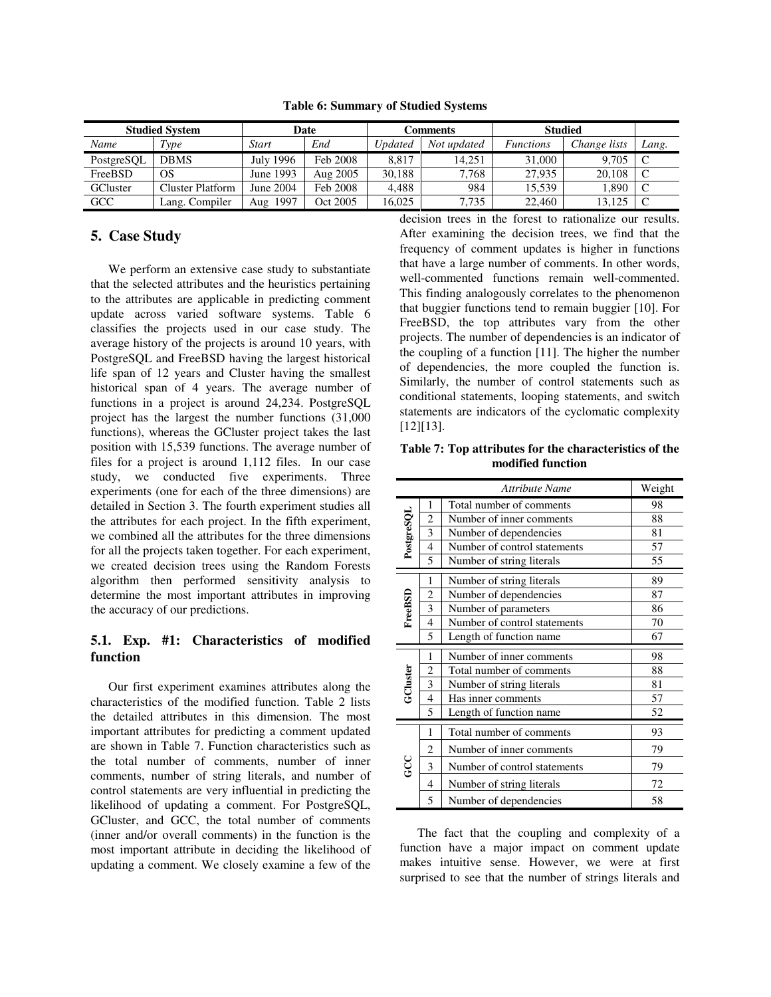**Studied System Date Comments Studied**  *Name Type Start End Updated Not updated Functions Change lists Lang.*  PostgreSQL | DBMS | July 1996 | Feb 2008 | 8,817 | 14,251 | 31,000 | 9,705 | C FreeBSD | OS | June 1993 | Aug 2005 | 30,188 | 7,768 | 27,935 | 20,108 | C GCluster Cluster Platform June 2004 Feb 2008 4,488 984 15,539 1,890 C<br>GCC Lang. Compiler Aug 1997 Oct 2005 16,025 7,735 22,460 13,125 C GCC | Lang. Compiler | Aug 1997 | Oct 2005 | 16,025 | 7,735 | 22,460 | 13,125 | C

**Table 6: Summary of Studied Systems**

# **5. Case Study**

We perform an extensive case study to substantiate that the selected attributes and the heuristics pertaining to the attributes are applicable in predicting comment update across varied software systems. Table 6 classifies the projects used in our case study. The average history of the projects is around 10 years, with PostgreSQL and FreeBSD having the largest historical life span of 12 years and Cluster having the smallest historical span of 4 years. The average number of functions in a project is around 24,234. PostgreSQL project has the largest the number functions (31,000 functions), whereas the GCluster project takes the last position with 15,539 functions. The average number of files for a project is around 1,112 files. In our case study, we conducted five experiments. Three experiments (one for each of the three dimensions) are detailed in Section 3. The fourth experiment studies all the attributes for each project. In the fifth experiment, we combined all the attributes for the three dimensions for all the projects taken together. For each experiment, we created decision trees using the Random Forests algorithm then performed sensitivity analysis to determine the most important attributes in improving the accuracy of our predictions.

# **5.1. Exp. #1: Characteristics of modified function**

Our first experiment examines attributes along the characteristics of the modified function. Table 2 lists the detailed attributes in this dimension. The most important attributes for predicting a comment updated are shown in Table 7. Function characteristics such as the total number of comments, number of inner comments, number of string literals, and number of control statements are very influential in predicting the likelihood of updating a comment. For PostgreSQL, GCluster, and GCC, the total number of comments (inner and/or overall comments) in the function is the most important attribute in deciding the likelihood of updating a comment. We closely examine a few of the

decision trees in the forest to rationalize our results. After examining the decision trees, we find that the frequency of comment updates is higher in functions that have a large number of comments. In other words, well-commented functions remain well-commented. This finding analogously correlates to the phenomenon that buggier functions tend to remain buggier [10]. For FreeBSD, the top attributes vary from the other projects. The number of dependencies is an indicator of the coupling of a function [11]. The higher the number of dependencies, the more coupled the function is. Similarly, the number of control statements such as conditional statements, looping statements, and switch statements are indicators of the cyclomatic complexity [12][13].

**Table 7: Top attributes for the characteristics of the modified function** 

|            |                | <b>Attribute Name</b>        | Weight |
|------------|----------------|------------------------------|--------|
|            | 1              | Total number of comments     | 98     |
| PostgreSQL | $\overline{2}$ | Number of inner comments     | 88     |
|            | 3              | Number of dependencies       | 81     |
|            | 4              | Number of control statements | 57     |
|            | 5              | Number of string literals    | 55     |
|            | 1              | Number of string literals    | 89     |
|            | $\overline{c}$ | Number of dependencies       | 87     |
| FreeBSD    | 3              | Number of parameters         | 86     |
|            | $\overline{4}$ | Number of control statements | 70     |
|            | 5              | Length of function name      | 67     |
|            | 1              | Number of inner comments     | 98     |
|            | $\overline{c}$ | Total number of comments     | 88     |
| GCluster   | 3              | Number of string literals    | 81     |
|            | $\overline{4}$ | Has inner comments           | 57     |
|            | 5              | Length of function name      | 52     |
|            | 1              | Total number of comments     | 93     |
|            | 2              | Number of inner comments     | 79     |
| <b>CCC</b> | 3              | Number of control statements | 79     |
|            | $\overline{4}$ | Number of string literals    | 72     |
|            | 5              | Number of dependencies       | 58     |

The fact that the coupling and complexity of a function have a major impact on comment update makes intuitive sense. However, we were at first surprised to see that the number of strings literals and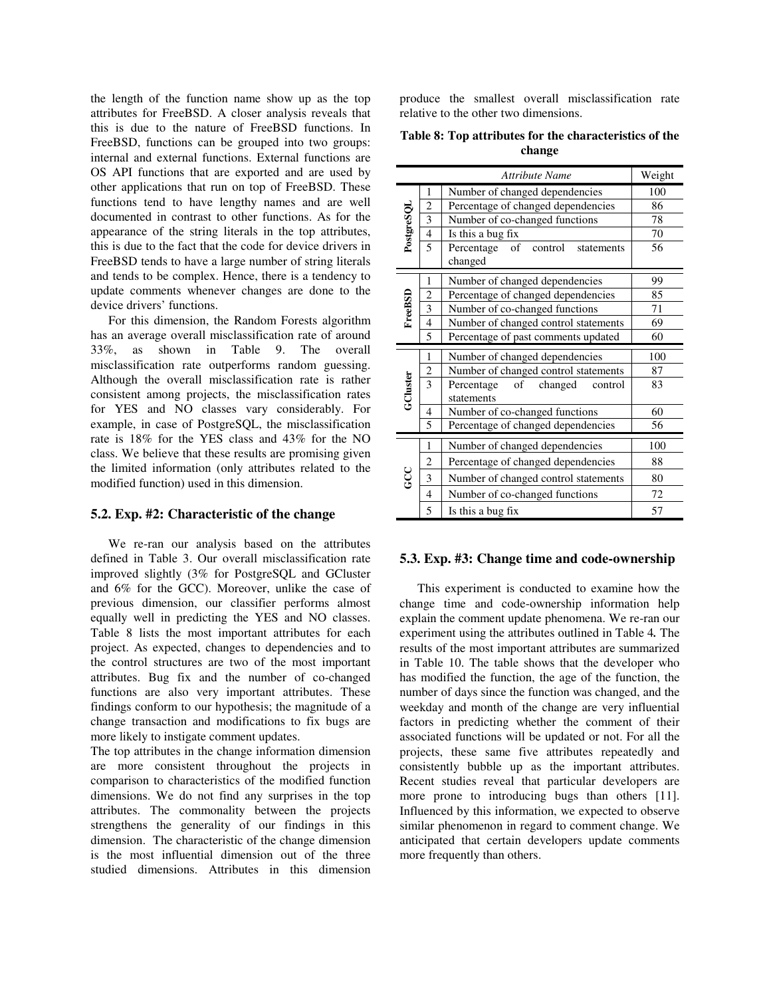the length of the function name show up as the top attributes for FreeBSD. A closer analysis reveals that this is due to the nature of FreeBSD functions. In FreeBSD, functions can be grouped into two groups: internal and external functions. External functions are OS API functions that are exported and are used by other applications that run on top of FreeBSD. These functions tend to have lengthy names and are well documented in contrast to other functions. As for the appearance of the string literals in the top attributes, this is due to the fact that the code for device drivers in FreeBSD tends to have a large number of string literals and tends to be complex. Hence, there is a tendency to update comments whenever changes are done to the device drivers' functions.

For this dimension, the Random Forests algorithm has an average overall misclassification rate of around 33%, as shown in Table 9. The overall misclassification rate outperforms random guessing. Although the overall misclassification rate is rather consistent among projects, the misclassification rates for YES and NO classes vary considerably. For example, in case of PostgreSQL, the misclassification rate is 18% for the YES class and 43% for the NO class. We believe that these results are promising given the limited information (only attributes related to the modified function) used in this dimension.

### **5.2. Exp. #2: Characteristic of the change**

We re-ran our analysis based on the attributes defined in Table 3. Our overall misclassification rate improved slightly (3% for PostgreSQL and GCluster and 6% for the GCC). Moreover, unlike the case of previous dimension, our classifier performs almost equally well in predicting the YES and NO classes. Table 8 lists the most important attributes for each project. As expected, changes to dependencies and to the control structures are two of the most important attributes. Bug fix and the number of co-changed functions are also very important attributes. These findings conform to our hypothesis; the magnitude of a change transaction and modifications to fix bugs are more likely to instigate comment updates.

The top attributes in the change information dimension are more consistent throughout the projects in comparison to characteristics of the modified function dimensions. We do not find any surprises in the top attributes. The commonality between the projects strengthens the generality of our findings in this dimension. The characteristic of the change dimension is the most influential dimension out of the three studied dimensions. Attributes in this dimension

produce the smallest overall misclassification rate relative to the other two dimensions.

| Table 8: Top attributes for the characteristics of the |        |  |  |
|--------------------------------------------------------|--------|--|--|
|                                                        | change |  |  |

|            |                         | Attribute Name                                       | Weight |
|------------|-------------------------|------------------------------------------------------|--------|
|            | 1                       | Number of changed dependencies                       | 100    |
|            | $\overline{\mathbf{c}}$ | Percentage of changed dependencies                   | 86     |
| PostgreSQL | 3                       | Number of co-changed functions                       | 78     |
|            | $\overline{4}$          | Is this a bug fix                                    | 70     |
|            | 5                       | Percentage of<br>control<br>statements               | 56     |
|            |                         | changed                                              |        |
|            | 1                       | Number of changed dependencies                       | 99     |
|            | $\overline{c}$          | Percentage of changed dependencies                   | 85     |
| FreeBSD    | 3                       | Number of co-changed functions                       | 71     |
|            | 4                       | Number of changed control statements                 | 69     |
|            | 5                       | Percentage of past comments updated                  | 60     |
|            | 1                       | Number of changed dependencies                       | 100    |
|            | $\overline{2}$          | Number of changed control statements                 | 87     |
| GCluster   | $\overline{3}$          | $_{\mathrm{of}}$<br>Percentage<br>changed<br>control | 83     |
|            |                         | statements                                           |        |
|            | 4                       | Number of co-changed functions                       | 60     |
|            | 5                       | Percentage of changed dependencies                   | 56     |
|            | 1                       | Number of changed dependencies                       | 100    |
|            | $\overline{c}$          | Percentage of changed dependencies                   | 88     |
|            | 3                       | Number of changed control statements                 | 80     |
|            | $\overline{4}$          | Number of co-changed functions                       | 72     |
|            | 5                       | Is this a bug fix                                    | 57     |

#### **5.3. Exp. #3: Change time and code-ownership**

This experiment is conducted to examine how the change time and code-ownership information help explain the comment update phenomena. We re-ran our experiment using the attributes outlined in Table 4*.* The results of the most important attributes are summarized in Table 10. The table shows that the developer who has modified the function, the age of the function, the number of days since the function was changed, and the weekday and month of the change are very influential factors in predicting whether the comment of their associated functions will be updated or not. For all the projects, these same five attributes repeatedly and consistently bubble up as the important attributes. Recent studies reveal that particular developers are more prone to introducing bugs than others [11]. Influenced by this information, we expected to observe similar phenomenon in regard to comment change. We anticipated that certain developers update comments more frequently than others.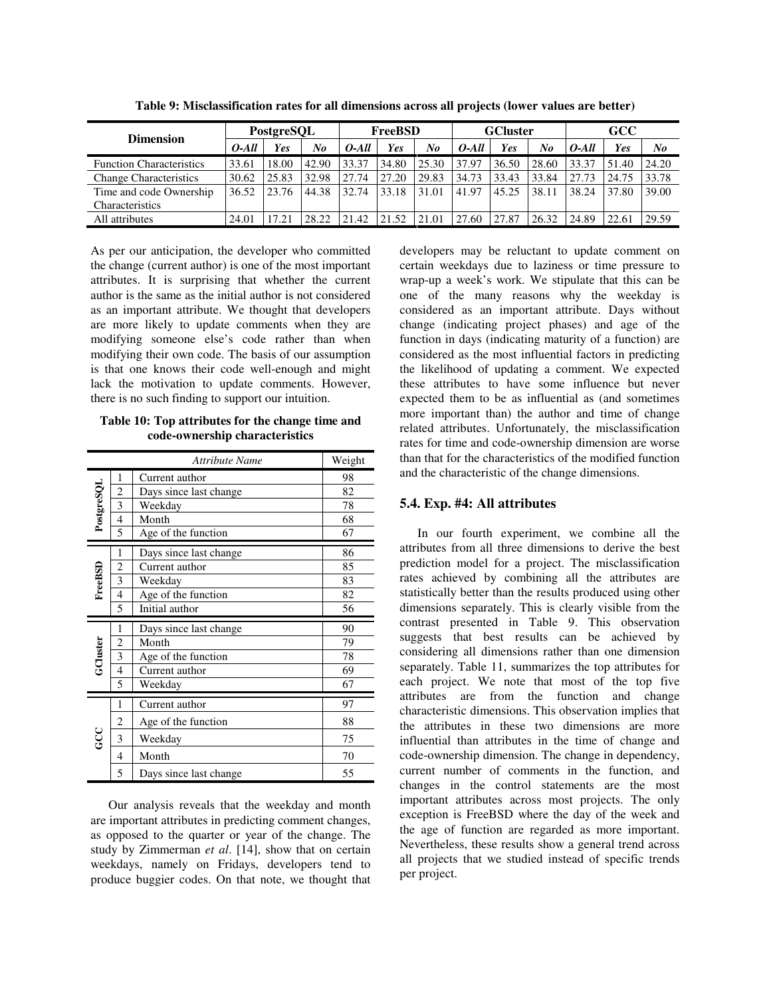| <b>Dimension</b>                | PostgreSQL |       | <b>FreeBSD</b> |       |       | <b>GCluster</b> |       |       | GCC   |         |       |       |
|---------------------------------|------------|-------|----------------|-------|-------|-----------------|-------|-------|-------|---------|-------|-------|
|                                 | O-All      | Yes   | No             | O-All | Yes   | No              | O-All | Yes   | No    | $O-All$ | Yes   | No    |
| <b>Function Characteristics</b> | 33.61      | 18.00 | 42.90          | 33.37 | 34.80 | 25.30           | 37.97 | 36.50 | 28.60 | 33.37   | 51.40 | 24.20 |
| <b>Change Characteristics</b>   | 30.62      | 25.83 | 32.98          | 27.74 | 27.20 | 29.83           | 34.73 | 33.43 | 33.84 | 27.73   | 24.75 | 33.78 |
| Time and code Ownership         | 36.52      | 23.76 | 44.38          | 32.74 | 33.18 | 31.01           | 41.97 | 45.25 | 38.11 | 38.24   | 37.80 | 39.00 |
| Characteristics                 |            |       |                |       |       |                 |       |       |       |         |       |       |
| All attributes                  | 24.01      | 17.21 | 28.22          | 21.42 | 21.52 | 21.01           | 27.60 | 27.87 | 26.32 | 24.89   | 22.61 | 29.59 |

**Table 9: Misclassification rates for all dimensions across all projects (lower values are better)** 

As per our anticipation, the developer who committed the change (current author) is one of the most important attributes. It is surprising that whether the current author is the same as the initial author is not considered as an important attribute. We thought that developers are more likely to update comments when they are modifying someone else's code rather than when modifying their own code. The basis of our assumption is that one knows their code well-enough and might lack the motivation to update comments. However, there is no such finding to support our intuition.

**Table 10: Top attributes for the change time and code-ownership characteristics** 

|            |                | Attribute Name         | Weight |
|------------|----------------|------------------------|--------|
|            | 1              | Current author         | 98     |
| PostgreSQL | $\overline{c}$ | Days since last change | 82     |
|            | 3              | Weekday                | 78     |
|            | $\overline{4}$ | Month                  | 68     |
|            | 5              | Age of the function    | 67     |
|            | 1              | Days since last change | 86     |
|            | $\overline{2}$ | Current author         | 85     |
| FreeBSD    | 3              | Weekday                | 83     |
|            | $\overline{4}$ | Age of the function    | 82     |
|            | 5              | Initial author         | 56     |
|            | 1              | Days since last change | 90     |
|            | $\overline{2}$ | Month                  | 79     |
| GCluster   | 3              | Age of the function    | 78     |
|            | 4              | Current author         | 69     |
|            | 5              | Weekday                | 67     |
|            | 1              | Current author         | 97     |
|            | 2              | Age of the function    | 88     |
|            | 3              | Weekday                | 75     |
|            | 4              | Month                  | 70     |
|            | 5              | Days since last change | 55     |

Our analysis reveals that the weekday and month are important attributes in predicting comment changes, as opposed to the quarter or year of the change. The study by Zimmerman *et al*. [14], show that on certain weekdays, namely on Fridays, developers tend to produce buggier codes. On that note, we thought that

developers may be reluctant to update comment on certain weekdays due to laziness or time pressure to wrap-up a week's work. We stipulate that this can be one of the many reasons why the weekday is considered as an important attribute. Days without change (indicating project phases) and age of the function in days (indicating maturity of a function) are considered as the most influential factors in predicting the likelihood of updating a comment. We expected these attributes to have some influence but never expected them to be as influential as (and sometimes more important than) the author and time of change related attributes. Unfortunately, the misclassification rates for time and code-ownership dimension are worse than that for the characteristics of the modified function and the characteristic of the change dimensions.

## **5.4. Exp. #4: All attributes**

In our fourth experiment, we combine all the attributes from all three dimensions to derive the best prediction model for a project. The misclassification rates achieved by combining all the attributes are statistically better than the results produced using other dimensions separately. This is clearly visible from the contrast presented in Table 9. This observation suggests that best results can be achieved by considering all dimensions rather than one dimension separately. Table 11, summarizes the top attributes for each project. We note that most of the top five attributes are from the function and change characteristic dimensions. This observation implies that the attributes in these two dimensions are more influential than attributes in the time of change and code-ownership dimension. The change in dependency, current number of comments in the function, and changes in the control statements are the most important attributes across most projects. The only exception is FreeBSD where the day of the week and the age of function are regarded as more important. Nevertheless, these results show a general trend across all projects that we studied instead of specific trends per project.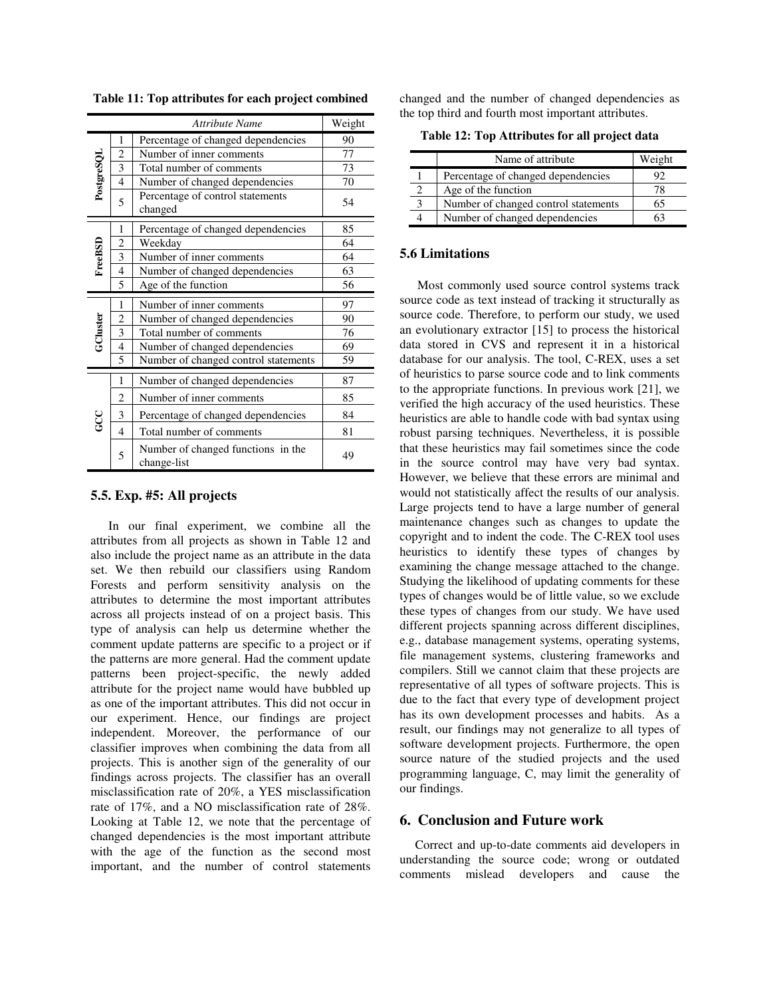|            |                | <b>Attribute Name</b>                             | Weight |
|------------|----------------|---------------------------------------------------|--------|
|            | 1              | Percentage of changed dependencies                | 90     |
|            | $\overline{c}$ | Number of inner comments                          | 77     |
| PostgreSQL | 3              | Total number of comments                          | 73     |
|            | $\overline{4}$ | Number of changed dependencies                    | 70     |
|            | 5              | Percentage of control statements<br>changed       | 54     |
|            | 1              | Percentage of changed dependencies                | 85     |
|            | 2              | Weekday                                           | 64     |
| FreeBSD    | 3              | Number of inner comments                          | 64     |
|            | $\overline{4}$ | Number of changed dependencies                    | 63     |
|            | 5              | Age of the function                               | 56     |
|            | 1              | Number of inner comments                          | 97     |
|            | $\overline{c}$ | Number of changed dependencies                    | 90     |
| GCluster   | 3              | Total number of comments                          | 76     |
|            | $\overline{4}$ | Number of changed dependencies                    | 69     |
|            | 5              | Number of changed control statements              | 59     |
|            | 1              | Number of changed dependencies                    | 87     |
|            | $\overline{c}$ | Number of inner comments                          | 85     |
|            | 3              | Percentage of changed dependencies                | 84     |
|            | $\overline{4}$ | Total number of comments                          | 81     |
|            | 5              | Number of changed functions in the<br>change-list | 49     |

**Table 11: Top attributes for each project combined** 

#### **5.5. Exp. #5: All projects**

In our final experiment, we combine all the attributes from all projects as shown in Table 12 and also include the project name as an attribute in the data set. We then rebuild our classifiers using Random Forests and perform sensitivity analysis on the attributes to determine the most important attributes across all projects instead of on a project basis. This type of analysis can help us determine whether the comment update patterns are specific to a project or if the patterns are more general. Had the comment update patterns been project-specific, the newly added attribute for the project name would have bubbled up as one of the important attributes. This did not occur in our experiment. Hence, our findings are project independent. Moreover, the performance of our classifier improves when combining the data from all projects. This is another sign of the generality of our findings across projects. The classifier has an overall misclassification rate of 20%, a YES misclassification rate of 17%, and a NO misclassification rate of 28%. Looking at Table 12, we note that the percentage of changed dependencies is the most important attribute with the age of the function as the second most important, and the number of control statements changed and the number of changed dependencies as the top third and fourth most important attributes.

**Table 12: Top Attributes for all project data** 

| Name of attribute                    | Weight |
|--------------------------------------|--------|
| Percentage of changed dependencies   |        |
| Age of the function                  |        |
| Number of changed control statements |        |
| Number of changed dependencies       |        |

### **5.6 Limitations**

Most commonly used source control systems track source code as text instead of tracking it structurally as source code. Therefore, to perform our study, we used an evolutionary extractor [15] to process the historical data stored in CVS and represent it in a historical database for our analysis. The tool, C-REX, uses a set of heuristics to parse source code and to link comments to the appropriate functions. In previous work [21], we verified the high accuracy of the used heuristics. These heuristics are able to handle code with bad syntax using robust parsing techniques. Nevertheless, it is possible that these heuristics may fail sometimes since the code in the source control may have very bad syntax. However, we believe that these errors are minimal and would not statistically affect the results of our analysis. Large projects tend to have a large number of general maintenance changes such as changes to update the copyright and to indent the code. The C-REX tool uses heuristics to identify these types of changes by examining the change message attached to the change. Studying the likelihood of updating comments for these types of changes would be of little value, so we exclude these types of changes from our study. We have used different projects spanning across different disciplines, e.g., database management systems, operating systems, file management systems, clustering frameworks and compilers. Still we cannot claim that these projects are representative of all types of software projects. This is due to the fact that every type of development project has its own development processes and habits. As a result, our findings may not generalize to all types of software development projects. Furthermore, the open source nature of the studied projects and the used programming language, C, may limit the generality of our findings.

## **6. Conclusion and Future work**

Correct and up-to-date comments aid developers in understanding the source code; wrong or outdated comments mislead developers and cause the